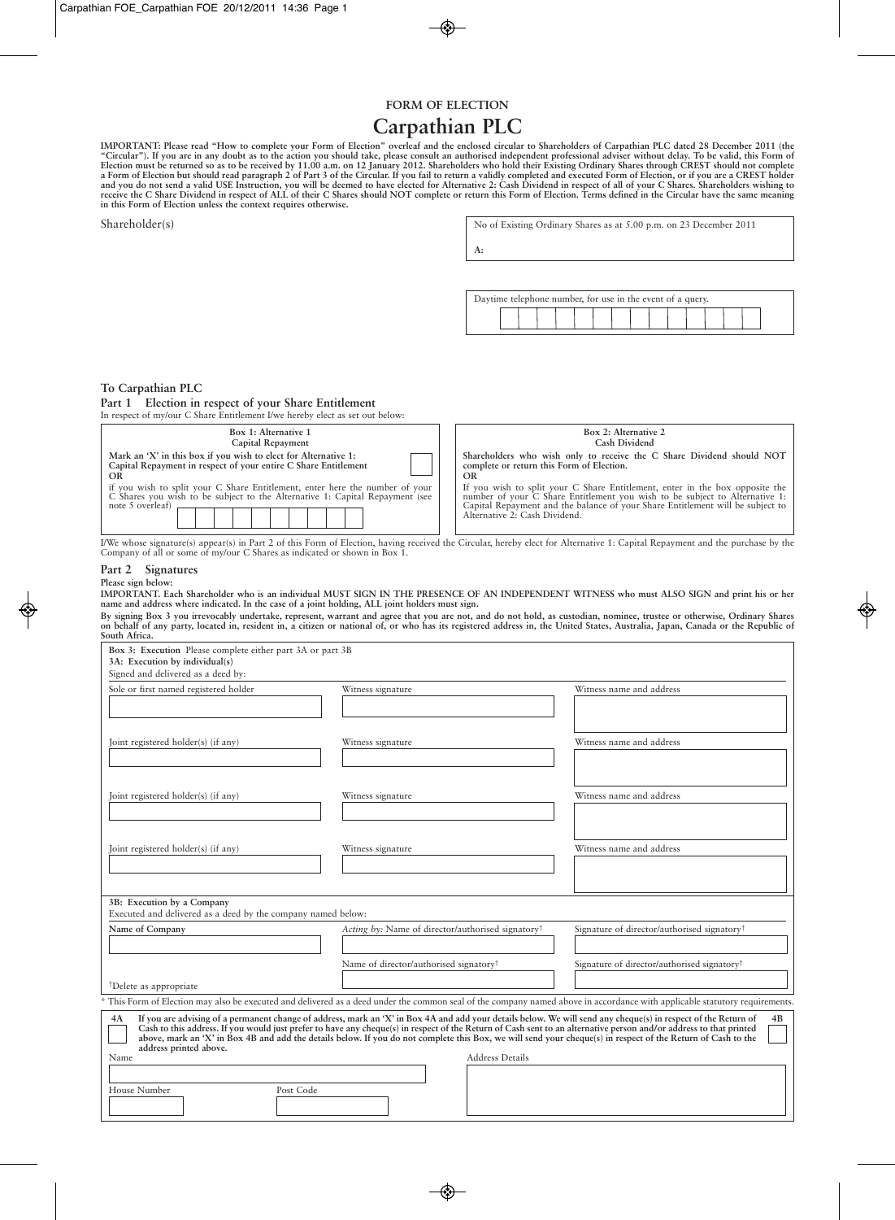# **FORM OF ELECTION**

# **Carpathian PLC**

IMPORTANT: Please read "How to complete your Form of Election" overleaf and the enclosed circular to Shareholders of Carpathian PLC dated 28 December 2011 (the<br>"Circular"). If you are in any doubt as to the action you shou **in this Form of Election unless the context requires otherwise.**

| Shareholder(s)                                                                                                                                               | No of Existing Ordinary Shares as at 5.00 p.m. on 23 December 2011                                                                                                                                                                                                                                                                                                                                                |  |
|--------------------------------------------------------------------------------------------------------------------------------------------------------------|-------------------------------------------------------------------------------------------------------------------------------------------------------------------------------------------------------------------------------------------------------------------------------------------------------------------------------------------------------------------------------------------------------------------|--|
|                                                                                                                                                              | A:                                                                                                                                                                                                                                                                                                                                                                                                                |  |
|                                                                                                                                                              | Daytime telephone number, for use in the event of a query.                                                                                                                                                                                                                                                                                                                                                        |  |
| To Carpathian PLC<br>Election in respect of your Share Entitlement<br>Part 1<br>In respect of my/our C Share Entitlement I/we hereby elect as set out below: |                                                                                                                                                                                                                                                                                                                                                                                                                   |  |
| Box 1: Alternative 1<br>Capital Repayment                                                                                                                    | Box 2: Alternative 2<br>Cash Dividend                                                                                                                                                                                                                                                                                                                                                                             |  |
| Mark an 'X' in this box if you wish to elect for Alternative 1:<br>Capital Repayment in respect of your entire C Share Entitlement<br><b>OR</b>              | Shareholders who wish only to receive the C Share Dividend should NOT<br>complete or return this Form of Election.<br><b>OR</b><br>If you wish to split your C Share Entitlement, enter in the box opposite the<br>number of your C Share Entitlement you wish to be subject to Alternative 1:<br>Capital Repayment and the balance of your Share Entitlement will be subject to<br>Alternative 2: Cash Dividend. |  |

I/We whose signature(s) appear(s) in Part 2 of this Form of Election, having received the Circular, hereby elect for Alternative 1: Capital Repayment and the purchase by the Company of all or some of my/our C Shares as indicated or shown in Box 1.

### **Part 2 Signatures Please sign below:**

IMPORTANT. Each Shareholder who is an individual MUST SIGN IN THE PRESENCE OF AN INDEPENDENT WITNESS who must ALSO SIGN and print his or her **name and address where indicated. In the case of a joint holding, ALL joint holders must sign.**

By signing Box 3 you irrevocably undertake, represent, warrant and agree that you are not, and do not hold, as custodian, nominee, trustee or otherwise, Ordinary Shares on behalf of any party, located in, resident in, a citizen or national of, or who has its registered address in, the United States, Australia, Japan, Canada or the Republic of **South Africa.**

| Box 3: Execution Please complete either part 3A or part 3B<br>3A: Execution by individual(s)                                                                                                                                                                                                                                                                                                                                                                                                                                                                                                              |                                                               |                                                         |  |
|-----------------------------------------------------------------------------------------------------------------------------------------------------------------------------------------------------------------------------------------------------------------------------------------------------------------------------------------------------------------------------------------------------------------------------------------------------------------------------------------------------------------------------------------------------------------------------------------------------------|---------------------------------------------------------------|---------------------------------------------------------|--|
| Signed and delivered as a deed by:                                                                                                                                                                                                                                                                                                                                                                                                                                                                                                                                                                        |                                                               |                                                         |  |
| Sole or first named registered holder                                                                                                                                                                                                                                                                                                                                                                                                                                                                                                                                                                     | Witness signature                                             | Witness name and address                                |  |
| Joint registered holder(s) (if any)                                                                                                                                                                                                                                                                                                                                                                                                                                                                                                                                                                       | Witness signature                                             | Witness name and address                                |  |
| Joint registered holder(s) (if any)                                                                                                                                                                                                                                                                                                                                                                                                                                                                                                                                                                       | Witness signature                                             | Witness name and address                                |  |
| Joint registered holder(s) (if any)                                                                                                                                                                                                                                                                                                                                                                                                                                                                                                                                                                       | Witness signature                                             | Witness name and address                                |  |
| 3B: Execution by a Company<br>Executed and delivered as a deed by the company named below:                                                                                                                                                                                                                                                                                                                                                                                                                                                                                                                |                                                               |                                                         |  |
| Name of Company                                                                                                                                                                                                                                                                                                                                                                                                                                                                                                                                                                                           | Acting by: Name of director/authorised signatory <sup>†</sup> | Signature of director/authorised signatory <sup>†</sup> |  |
| <sup>†</sup> Delete as appropriate                                                                                                                                                                                                                                                                                                                                                                                                                                                                                                                                                                        | Name of director/authorised signatory <sup>+</sup>            | Signature of director/authorised signatory <sup>†</sup> |  |
| This Form of Election may also be executed and delivered as a deed under the common seal of the company named above in accordance with applicable statutory requirements.                                                                                                                                                                                                                                                                                                                                                                                                                                 |                                                               |                                                         |  |
| If you are advising of a permanent change of address, mark an 'X' in Box 4A and add your details below. We will send any cheque(s) in respect of the Return of<br>4A<br>4B<br>Cash to this address. If you would just prefer to have any cheque(s) in respect of the Return of Cash sent to an alternative person and/or address to that printed<br>above, mark an 'X' in Box 4B and add the details below. If you do not complete this Box, we will send your cheque(s) in respect of the Return of Cash to the<br>address printed above.<br><b>Address Details</b><br>Name<br>House Number<br>Post Code |                                                               |                                                         |  |
|                                                                                                                                                                                                                                                                                                                                                                                                                                                                                                                                                                                                           |                                                               |                                                         |  |